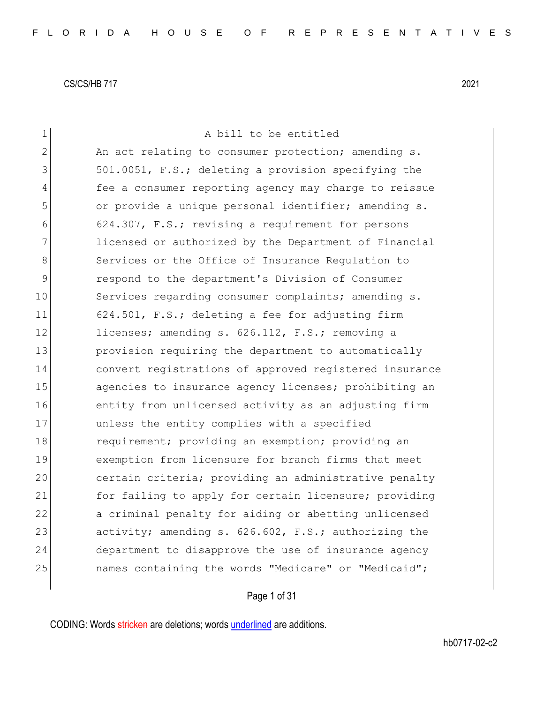| $\mathbf 1$  | A bill to be entitled                                  |
|--------------|--------------------------------------------------------|
| $\mathbf{2}$ | An act relating to consumer protection; amending s.    |
| 3            | 501.0051, F.S.; deleting a provision specifying the    |
| 4            | fee a consumer reporting agency may charge to reissue  |
| 5            | or provide a unique personal identifier; amending s.   |
| 6            | 624.307, F.S.; revising a requirement for persons      |
| 7            | licensed or authorized by the Department of Financial  |
| 8            | Services or the Office of Insurance Requlation to      |
| 9            | respond to the department's Division of Consumer       |
| 10           | Services regarding consumer complaints; amending s.    |
| 11           | 624.501, F.S.; deleting a fee for adjusting firm       |
| 12           | licenses; amending s. 626.112, F.S.; removing a        |
| 13           | provision requiring the department to automatically    |
| 14           | convert registrations of approved registered insurance |
| 15           | agencies to insurance agency licenses; prohibiting an  |
| 16           | entity from unlicensed activity as an adjusting firm   |
| 17           | unless the entity complies with a specified            |
| 18           | requirement; providing an exemption; providing an      |
| 19           | exemption from licensure for branch firms that meet    |
| 20           | certain criteria; providing an administrative penalty  |
| 21           | for failing to apply for certain licensure; providing  |
| 22           | a criminal penalty for aiding or abetting unlicensed   |
| 23           | activity; amending s. 626.602, F.S.; authorizing the   |
| 24           | department to disapprove the use of insurance agency   |
| 25           | names containing the words "Medicare" or "Medicaid";   |
|              |                                                        |

# Page 1 of 31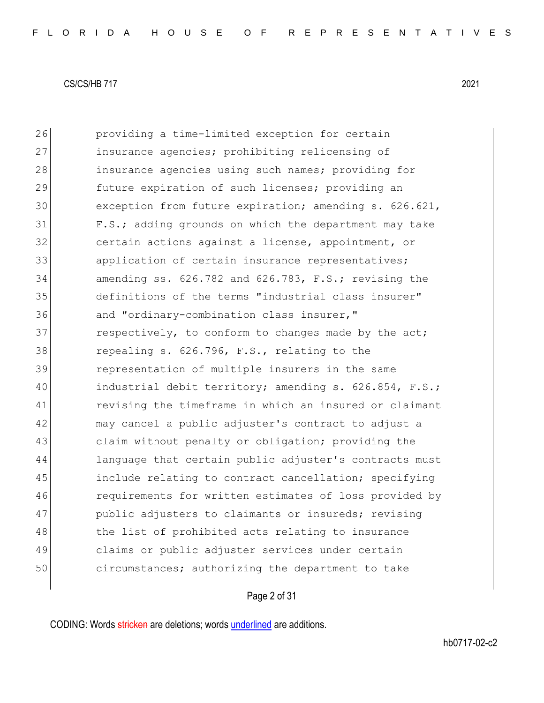26 providing a time-limited exception for certain 27 insurance agencies; prohibiting relicensing of 28 insurance agencies using such names; providing for 29 **future expiration of such licenses;** providing an 30 exception from future expiration; amending s. 626.621, 31 F.S.; adding grounds on which the department may take 32 certain actions against a license, appointment, or 33 application of certain insurance representatives; 34 amending ss. 626.782 and 626.783, F.S.; revising the 35 definitions of the terms "industrial class insurer" 36 and "ordinary-combination class insurer," 37 respectively, to conform to changes made by the act; 38 repealing s. 626.796, F.S., relating to the 39 representation of multiple insurers in the same 40 industrial debit territory; amending s. 626.854, F.S.; 41 revising the timeframe in which an insured or claimant 42 may cancel a public adjuster's contract to adjust a 43 claim without penalty or obligation; providing the 44 language that certain public adjuster's contracts must 45 include relating to contract cancellation; specifying 46 requirements for written estimates of loss provided by 47 public adjusters to claimants or insureds; revising 48 the list of prohibited acts relating to insurance 49 claims or public adjuster services under certain 50 circumstances; authorizing the department to take

## Page 2 of 31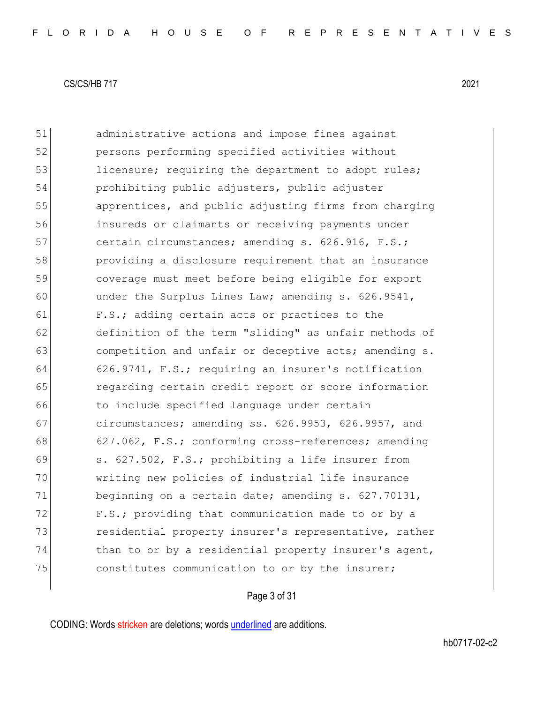51 administrative actions and impose fines against 52 persons performing specified activities without 53 licensure; requiring the department to adopt rules; 54 prohibiting public adjusters, public adjuster 55 apprentices, and public adjusting firms from charging 56 insureds or claimants or receiving payments under 57 certain circumstances; amending s. 626.916, F.S.; 58 providing a disclosure requirement that an insurance 59 coverage must meet before being eligible for export 60 under the Surplus Lines Law; amending s. 626.9541, 61 F.S.; adding certain acts or practices to the 62 definition of the term "sliding" as unfair methods of 63 **competition and unfair or deceptive acts; amending s.** 64 626.9741, F.S.; requiring an insurer's notification 65 regarding certain credit report or score information 66 to include specified language under certain 67 circumstances; amending ss. 626.9953, 626.9957, and 68 627.062, F.S.; conforming cross-references; amending 69 s. 627.502, F.S.; prohibiting a life insurer from 70 writing new policies of industrial life insurance 71 beginning on a certain date; amending s. 627.70131, 72 F.S.; providing that communication made to or by a 73 residential property insurer's representative, rather  $74$  than to or by a residential property insurer's agent, 75 constitutes communication to or by the insurer;

## Page 3 of 31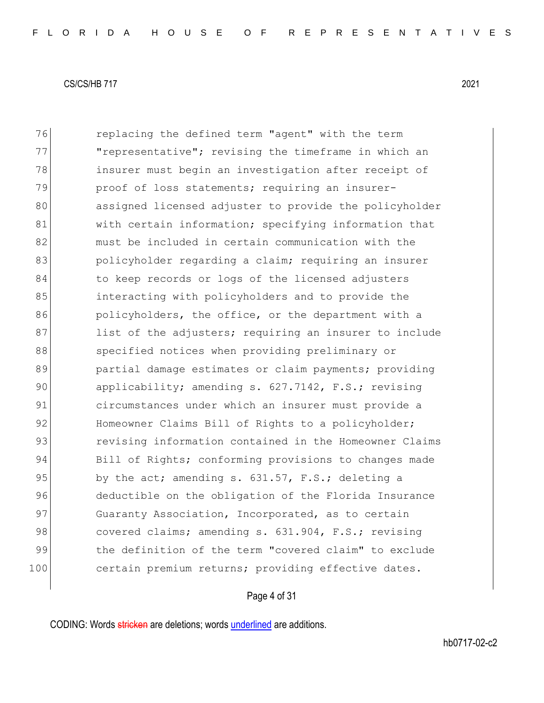76 replacing the defined term "agent" with the term 77 **"**representative"; revising the timeframe in which an 78 insurer must begin an investigation after receipt of 79 proof of loss statements; requiring an insurer-80 assigned licensed adjuster to provide the policyholder 81 With certain information; specifying information that 82 and must be included in certain communication with the 83 bolicyholder regarding a claim; requiring an insurer 84 to keep records or logs of the licensed adjusters 85 interacting with policyholders and to provide the 86 **policyholders, the office, or the department with a** 87 list of the adjusters; requiring an insurer to include 88 specified notices when providing preliminary or 89 **partial damage estimates or claim payments;** providing 90 applicability; amending s. 627.7142, F.S.; revising 91 circumstances under which an insurer must provide a 92 Homeowner Claims Bill of Rights to a policyholder; 93 revising information contained in the Homeowner Claims 94 Bill of Rights; conforming provisions to changes made 95 by the act; amending s.  $631.57$ , F.S.; deleting a 96 deductible on the obligation of the Florida Insurance 97 Guaranty Association, Incorporated, as to certain 98 covered claims; amending s. 631.904, F.S.; revising 99 blood the definition of the term "covered claim" to exclude 100 certain premium returns; providing effective dates.

## Page 4 of 31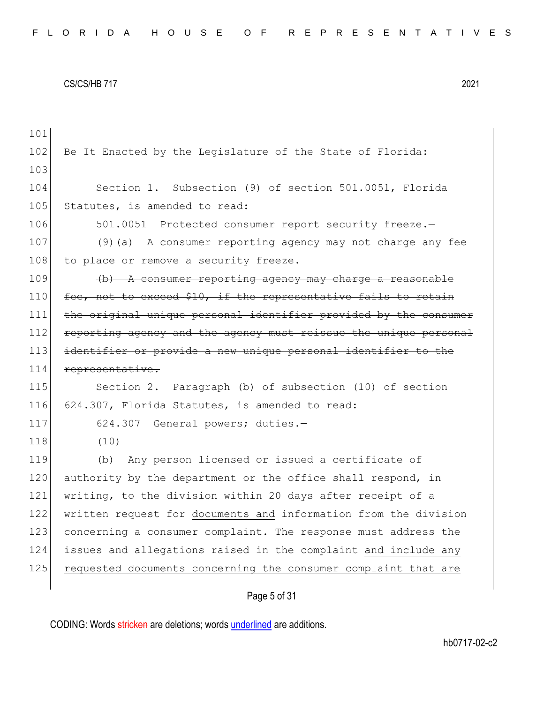| 101 |                                                                  |
|-----|------------------------------------------------------------------|
| 102 | Be It Enacted by the Legislature of the State of Florida:        |
| 103 |                                                                  |
| 104 | Section 1. Subsection (9) of section 501.0051, Florida           |
| 105 | Statutes, is amended to read:                                    |
| 106 | 501.0051 Protected consumer report security freeze.-             |
| 107 | $(9)$ $(a)$ A consumer reporting agency may not charge any fee   |
| 108 | to place or remove a security freeze.                            |
| 109 | $(b)$ A consumer reporting agency may charge a reasonable        |
| 110 | fee, not to exceed \$10, if the representative fails to retain   |
| 111 | the original unique personal identifier provided by the consumer |
| 112 | reporting agency and the agency must reissue the unique personal |
| 113 | identifier or provide a new unique personal identifier to the    |
| 114 | representative.                                                  |
|     |                                                                  |
| 115 | Section 2. Paragraph (b) of subsection (10) of section           |
| 116 | 624.307, Florida Statutes, is amended to read:                   |
| 117 | 624.307 General powers; duties.-                                 |
| 118 | (10)                                                             |
| 119 | Any person licensed or issued a certificate of<br>(b)            |
| 120 | authority by the department or the office shall respond, in      |
| 121 | writing, to the division within 20 days after receipt of a       |
| 122 | written request for documents and information from the division  |
| 123 | concerning a consumer complaint. The response must address the   |
| 124 | issues and allegations raised in the complaint and include any   |
| 125 | requested documents concerning the consumer complaint that are   |

# Page 5 of 31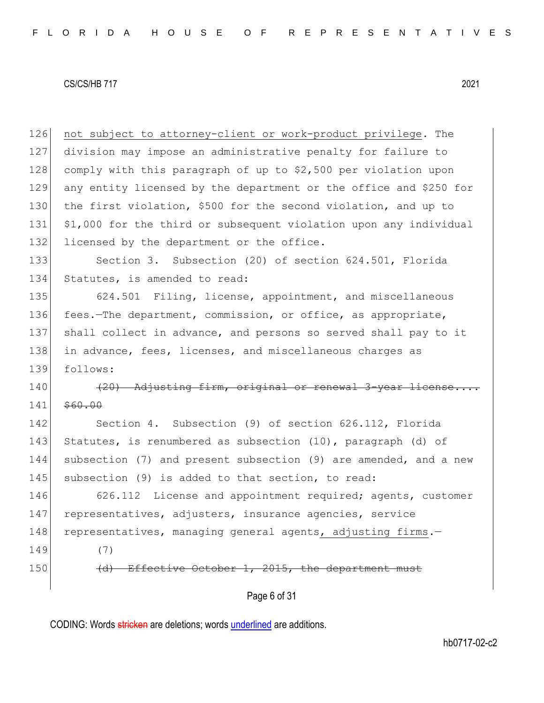126 not subject to attorney-client or work-product privilege. The 127 division may impose an administrative penalty for failure to 128 comply with this paragraph of up to \$2,500 per violation upon 129 any entity licensed by the department or the office and \$250 for 130 the first violation, \$500 for the second violation, and up to 131 \$1,000 for the third or subsequent violation upon any individual 132 licensed by the department or the office. 133 Section 3. Subsection (20) of section 624.501, Florida 134 Statutes, is amended to read: 135 624.501 Filing, license, appointment, and miscellaneous 136 fees.—The department, commission, or office, as appropriate, 137 shall collect in advance, and persons so served shall pay to it 138 in advance, fees, licenses, and miscellaneous charges as 139 follows:  $140$  (20) Adjusting firm, original or renewal 3-year license... 141 \$60.00 142 Section 4. Subsection (9) of section 626.112, Florida 143 Statutes, is renumbered as subsection (10), paragraph (d) of 144 subsection (7) and present subsection (9) are amended, and a new 145 subsection (9) is added to that section, to read: 146 626.112 License and appointment required; agents, customer

147 representatives, adjusters, insurance agencies, service 148 representatives, managing general agents, adjusting firms.

149 (7)

150 (d) Effective October 1, 2015, the department must

Page 6 of 31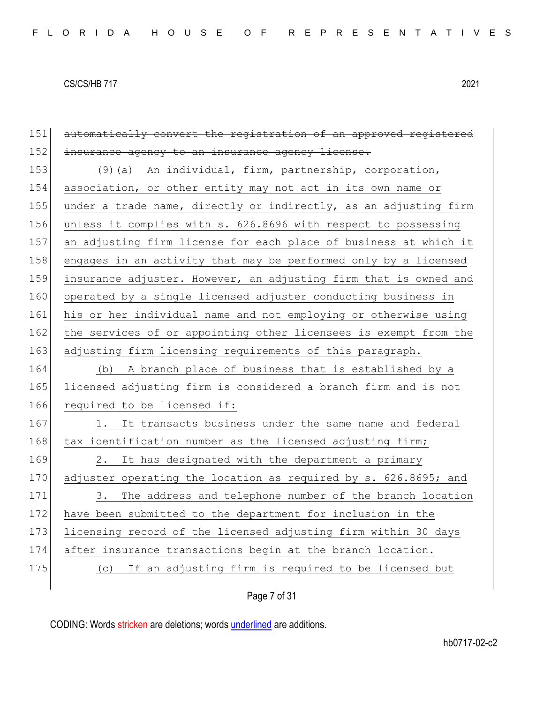151 automatically convert the registration of an approved registered 152 insurance agency to an insurance agency license. 153 (9)(a) An individual, firm, partnership, corporation, 154 association, or other entity may not act in its own name or 155 under a trade name, directly or indirectly, as an adjusting firm 156 unless it complies with s. 626.8696 with respect to possessing 157 an adjusting firm license for each place of business at which it 158 engages in an activity that may be performed only by a licensed 159 insurance adjuster. However, an adjusting firm that is owned and 160 operated by a single licensed adjuster conducting business in 161 his or her individual name and not employing or otherwise using 162 the services of or appointing other licensees is exempt from the 163 adjusting firm licensing requirements of this paragraph. 164 (b) A branch place of business that is established by a 165 licensed adjusting firm is considered a branch firm and is not 166 required to be licensed if: 167 1. It transacts business under the same name and federal 168 tax identification number as the licensed adjusting firm; 169 2. It has designated with the department a primary 170 adjuster operating the location as required by s. 626.8695; and 171 3. The address and telephone number of the branch location 172 have been submitted to the department for inclusion in the 173 licensing record of the licensed adjusting firm within 30 days 174 after insurance transactions begin at the branch location. 175 (c) If an adjusting firm is required to be licensed but

Page 7 of 31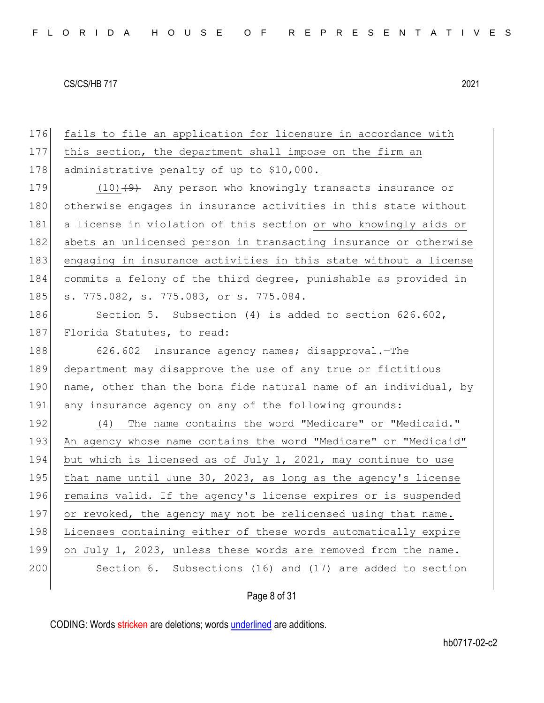176 fails to file an application for licensure in accordance with 177 this section, the department shall impose on the firm an 178 administrative penalty of up to \$10,000. 179 (10)<del>(9)</del> Any person who knowingly transacts insurance or 180 otherwise engages in insurance activities in this state without 181 a license in violation of this section or who knowingly aids or 182 abets an unlicensed person in transacting insurance or otherwise 183 engaging in insurance activities in this state without a license 184 commits a felony of the third degree, punishable as provided in 185 s. 775.082, s. 775.083, or s. 775.084.

186 Section 5. Subsection (4) is added to section 626.602, 187 Florida Statutes, to read:

188 626.602 Insurance agency names; disapproval.—The 189 department may disapprove the use of any true or fictitious 190 name, other than the bona fide natural name of an individual, by 191 any insurance agency on any of the following grounds:

192 (4) The name contains the word "Medicare" or "Medicaid." 193 An agency whose name contains the word "Medicare" or "Medicaid" 194 but which is licensed as of July 1, 2021, may continue to use 195 that name until June 30, 2023, as long as the agency's license 196 remains valid. If the agency's license expires or is suspended 197 or revoked, the agency may not be relicensed using that name. 198 Licenses containing either of these words automatically expire 199 on July 1, 2023, unless these words are removed from the name. 200 Section 6. Subsections (16) and (17) are added to section

Page 8 of 31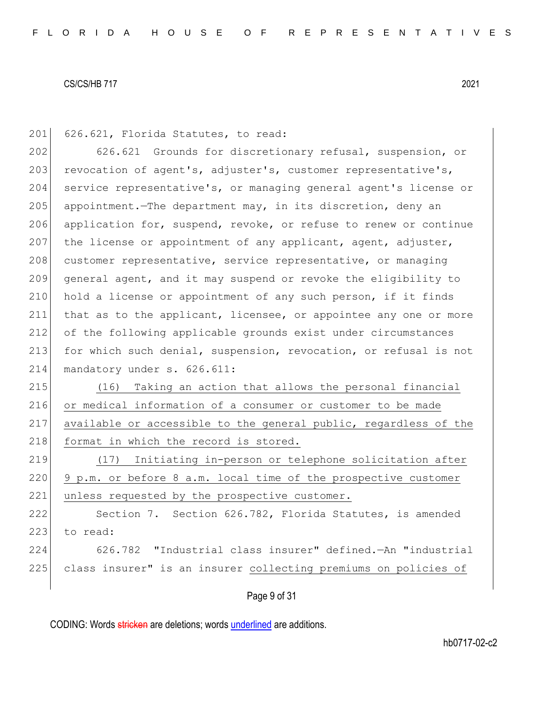201 626.621, Florida Statutes, to read:

202 626.621 Grounds for discretionary refusal, suspension, or 203 revocation of agent's, adjuster's, customer representative's, 204 service representative's, or managing general agent's license or 205 appointment.—The department may, in its discretion, deny an 206 application for, suspend, revoke, or refuse to renew or continue 207 the license or appointment of any applicant, agent, adjuster, 208 customer representative, service representative, or managing 209 general agent, and it may suspend or revoke the eligibility to  $210$  hold a license or appointment of any such person, if it finds 211 that as to the applicant, licensee, or appointee any one or more 212 of the following applicable grounds exist under circumstances 213 for which such denial, suspension, revocation, or refusal is not 214 mandatory under s. 626.611:

 (16) Taking an action that allows the personal financial or medical information of a consumer or customer to be made available or accessible to the general public, regardless of the 218 format in which the record is stored.

219 (17) Initiating in-person or telephone solicitation after  $220$  9 p.m. or before 8 a.m. local time of the prospective customer 221 unless requested by the prospective customer.

222 Section 7. Section 626.782, Florida Statutes, is amended 223 to read: 224 626.782 "Industrial class insurer" defined.—An "industrial 225 class insurer" is an insurer collecting premiums on policies of

Page 9 of 31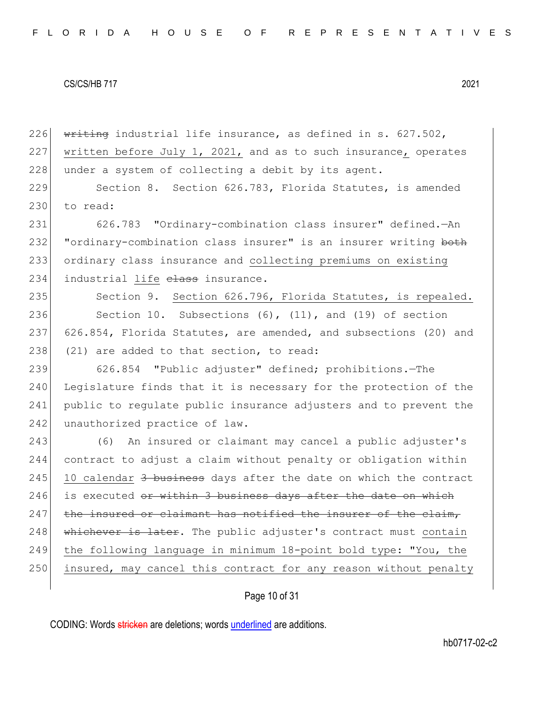226  $\overline{\text{written}}$  industrial life insurance, as defined in s. 627.502, 227 written before July 1, 2021, and as to such insurance, operates 228 under a system of collecting a debit by its agent.

229 Section 8. Section 626.783, Florida Statutes, is amended 230 to read:

231 626.783 "Ordinary-combination class insurer" defined.—An 232 "ordinary-combination class insurer" is an insurer writing both 233 ordinary class insurance and collecting premiums on existing 234 industrial life elass insurance.

235 Section 9. Section 626.796, Florida Statutes, is repealed. 236 Section 10. Subsections (6), (11), and (19) of section 237 626.854, Florida Statutes, are amended, and subsections (20) and 238  $(21)$  are added to that section, to read:

239 626.854 "Public adjuster" defined; prohibitions.—The 240 Legislature finds that it is necessary for the protection of the 241 public to regulate public insurance adjusters and to prevent the 242 unauthorized practice of law.

243 (6) An insured or claimant may cancel a public adjuster's contract to adjust a claim without penalty or obligation within 10 calendar 3 business days after the date on which the contract is executed or within 3 business days after the date on which 247 the insured or claimant has notified the insurer of the claim, whichever is later. The public adjuster's contract must contain the following language in minimum 18-point bold type: "You, the 250 insured, may cancel this contract for any reason without penalty

## Page 10 of 31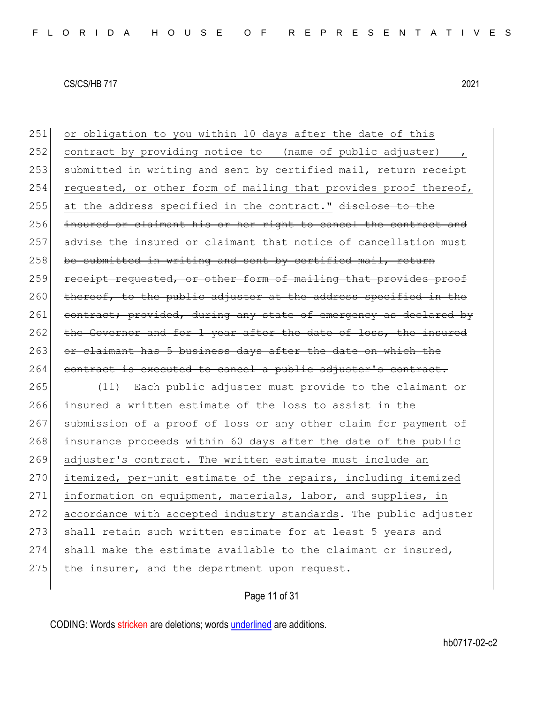251 or obligation to you within 10 days after the date of this 252 contract by providing notice to (name of public adjuster) 253 submitted in writing and sent by certified mail, return receipt 254 requested, or other form of mailing that provides proof thereof, 255 at the address specified in the contract." disclose to the 256 insured or claimant his or her right to cancel the contract and 257 advise the insured or claimant that notice of cancellation must  $258$  be submitted in writing and sent by certified mail, return 259 receipt requested, or other form of mailing that provides proof  $260$  thereof, to the public adjuster at the address specified in the 261 contract; provided, during any state of emergency as declared by 262 the Governor and for 1 year after the date of loss, the insured 263 or claimant has 5 business days after the date on which the 264 contract is executed to cancel a public adjuster's contract.

265 (11) Each public adjuster must provide to the claimant or 266 insured a written estimate of the loss to assist in the 267 submission of a proof of loss or any other claim for payment of 268 insurance proceeds within 60 days after the date of the public 269 adjuster's contract. The written estimate must include an 270 itemized, per-unit estimate of the repairs, including itemized 271 information on equipment, materials, labor, and supplies, in 272 accordance with accepted industry standards. The public adjuster 273 shall retain such written estimate for at least 5 years and 274 shall make the estimate available to the claimant or insured,  $275$  the insurer, and the department upon request.

Page 11 of 31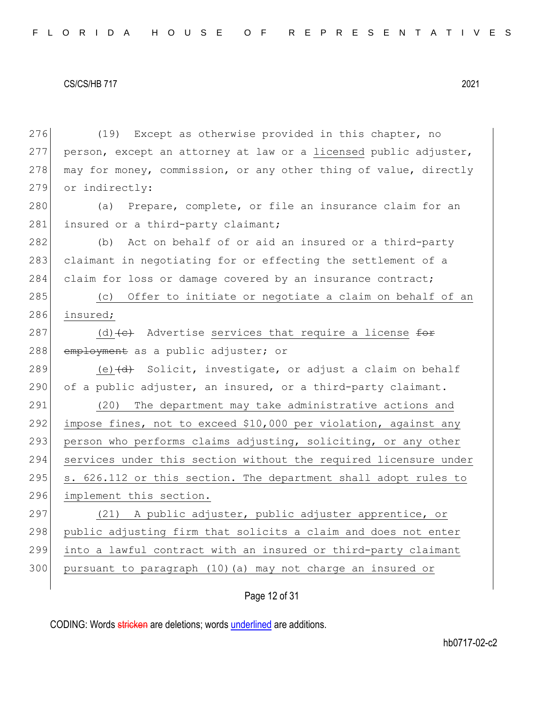276 (19) Except as otherwise provided in this chapter, no 277 person, except an attorney at law or a licensed public adjuster, 278 may for money, commission, or any other thing of value, directly 279 or indirectly: 280 (a) Prepare, complete, or file an insurance claim for an 281 insured or a third-party claimant; 282 (b) Act on behalf of or aid an insured or a third-party 283 claimant in negotiating for or effecting the settlement of a 284 claim for loss or damage covered by an insurance contract; 285 (c) Offer to initiate or negotiate a claim on behalf of an 286 insured; 287 (d)  $\left\{ \left. \right\}$  Advertise services that require a license for 288 employment as a public adjuster; or 289 (e)  $\left(\frac{d}{dt}\right)$  Solicit, investigate, or adjust a claim on behalf  $290$  of a public adjuster, an insured, or a third-party claimant. 291 (20) The department may take administrative actions and 292 impose fines, not to exceed \$10,000 per violation, against any 293 person who performs claims adjusting, soliciting, or any other 294 services under this section without the required licensure under 295 | s. 626.112 or this section. The department shall adopt rules to 296 implement this section. 297 (21) A public adjuster, public adjuster apprentice, or 298 public adjusting firm that solicits a claim and does not enter 299 into a lawful contract with an insured or third-party claimant 300 pursuant to paragraph (10)(a) may not charge an insured or

## Page 12 of 31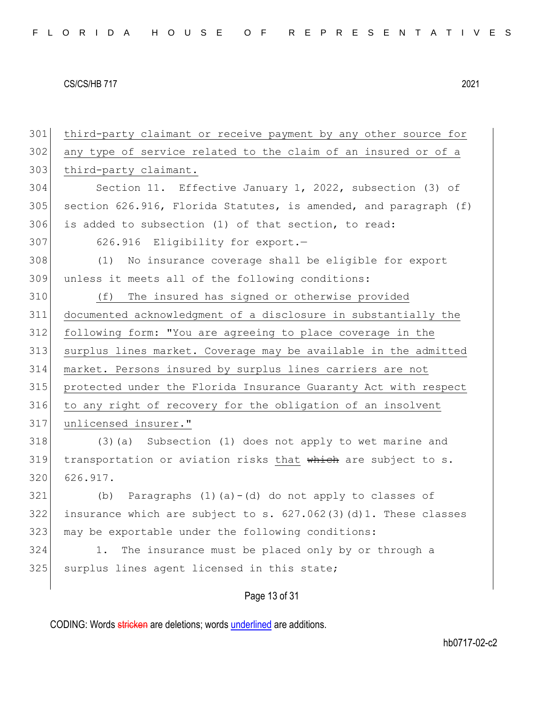| 301 | third-party claimant or receive payment by any other source for  |
|-----|------------------------------------------------------------------|
| 302 | any type of service related to the claim of an insured or of a   |
| 303 | third-party claimant.                                            |
| 304 | Section 11. Effective January 1, 2022, subsection (3) of         |
| 305 | section 626.916, Florida Statutes, is amended, and paragraph (f) |
| 306 | is added to subsection (1) of that section, to read:             |
| 307 | 626.916 Eligibility for export.-                                 |
| 308 | (1)<br>No insurance coverage shall be eligible for export        |
| 309 | unless it meets all of the following conditions:                 |
| 310 | The insured has signed or otherwise provided<br>(f)              |
| 311 | documented acknowledgment of a disclosure in substantially the   |
| 312 | following form: "You are agreeing to place coverage in the       |
| 313 | surplus lines market. Coverage may be available in the admitted  |
| 314 | market. Persons insured by surplus lines carriers are not        |
| 315 | protected under the Florida Insurance Guaranty Act with respect  |
| 316 | to any right of recovery for the obligation of an insolvent      |
| 317 | unlicensed insurer."                                             |
| 318 | (3) (a) Subsection (1) does not apply to wet marine and          |
| 319 | transportation or aviation risks that which are subject to s.    |
| 320 | 626.917.                                                         |
| 321 | Paragraphs $(1)$ $(a) - (d)$ do not apply to classes of<br>(b)   |
| 322 | insurance which are subject to s. 627.062(3)(d)1. These classes  |
| 323 | may be exportable under the following conditions:                |
| 324 | The insurance must be placed only by or through a<br>1.          |
| 325 | surplus lines agent licensed in this state;                      |
|     |                                                                  |
|     | Page 13 of 31                                                    |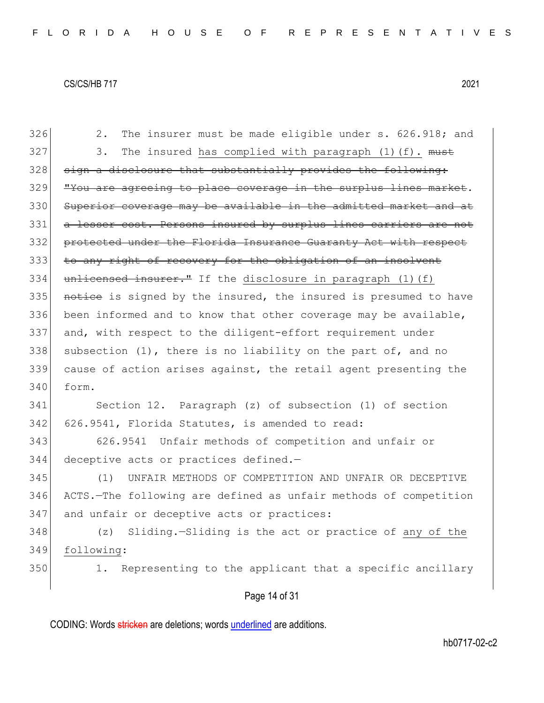326 2. The insurer must be made eligible under s. 626.918; and  $327$  3. The insured has complied with paragraph (1)(f).  $must$  $328$  sign a disclosure that substantially provides the following: 329 | "You are agreeing to place coverage in the surplus lines market. 330 Superior coverage may be available in the admitted market and at 331 a lesser cost. Persons insured by surplus lines carriers are not 332 protected under the Florida Insurance Guaranty Act with respect 333 to any right of recovery for the obligation of an insolvent 334 unlicensed insurer." If the disclosure in paragraph (1)(f) 335 notice is signed by the insured, the insured is presumed to have 336 been informed and to know that other coverage may be available, 337 and, with respect to the diligent-effort requirement under 338 subsection  $(1)$ , there is no liability on the part of, and no 339 cause of action arises against, the retail agent presenting the  $340$  form.

341 Section 12. Paragraph (z) of subsection (1) of section 342 626.9541, Florida Statutes, is amended to read:

343 626.9541 Unfair methods of competition and unfair or 344 deceptive acts or practices defined.—

345 (1) UNFAIR METHODS OF COMPETITION AND UNFAIR OR DECEPTIVE 346 ACTS.—The following are defined as unfair methods of competition 347 and unfair or deceptive acts or practices:

348 (z) Sliding.—Sliding is the act or practice of any of the 349 following:

350 1. Representing to the applicant that a specific ancillary

## Page 14 of 31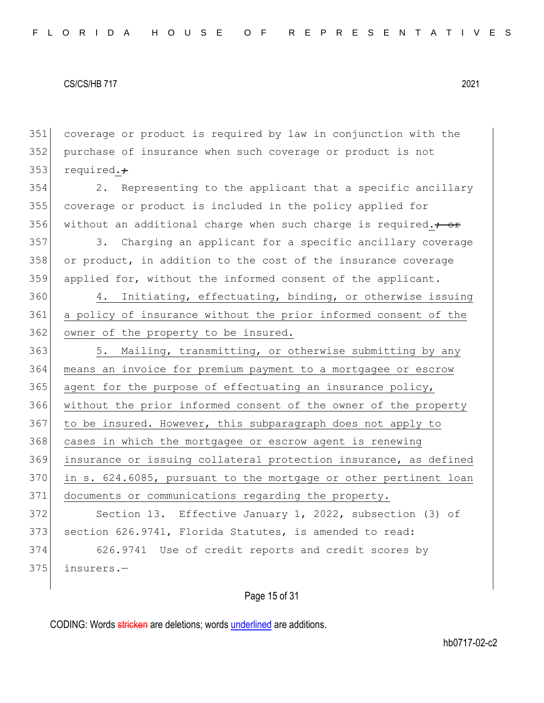351 coverage or product is required by law in conjunction with the 352 purchase of insurance when such coverage or product is not 353 required. $\div$ 

354 2. Representing to the applicant that a specific ancillary 355 coverage or product is included in the policy applied for 356 without an additional charge when such charge is required. $\div$ 

357 3. Charging an applicant for a specific ancillary coverage 358 or product, in addition to the cost of the insurance coverage 359 applied for, without the informed consent of the applicant.

360 4. Initiating, effectuating, binding, or otherwise issuing 361 a policy of insurance without the prior informed consent of the 362 owner of the property to be insured.

363 5. Mailing, transmitting, or otherwise submitting by any 364 means an invoice for premium payment to a mortgagee or escrow  $365$  agent for the purpose of effectuating an insurance policy, 366 without the prior informed consent of the owner of the property 367 to be insured. However, this subparagraph does not apply to 368 cases in which the mortgagee or escrow agent is renewing 369 insurance or issuing collateral protection insurance, as defined 370 in s. 624.6085, pursuant to the mortgage or other pertinent loan 371 documents or communications regarding the property.

372 Section 13. Effective January 1, 2022, subsection (3) of 373 section 626.9741, Florida Statutes, is amended to read:

374 626.9741 Use of credit reports and credit scores by  $375$  insurers.

Page 15 of 31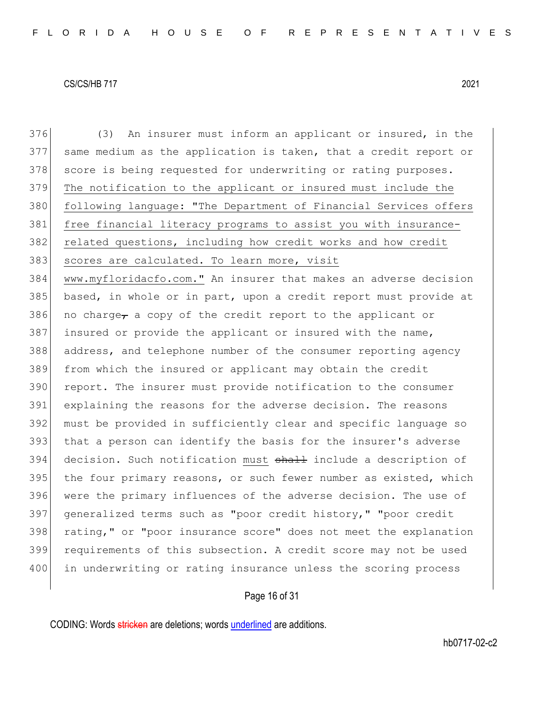376 (3) An insurer must inform an applicant or insured, in the 377 same medium as the application is taken, that a credit report or 378 score is being requested for underwriting or rating purposes. 379 The notification to the applicant or insured must include the 380 following language: "The Department of Financial Services offers 381 free financial literacy programs to assist you with insurance-382 related questions, including how credit works and how credit 383 scores are calculated. To learn more, visit 384 www.myfloridacfo.com." An insurer that makes an adverse decision 385 based, in whole or in part, upon a credit report must provide at 386 no charge, a copy of the credit report to the applicant or 387 insured or provide the applicant or insured with the name, 388 address, and telephone number of the consumer reporting agency 389 from which the insured or applicant may obtain the credit 390 report. The insurer must provide notification to the consumer 391 explaining the reasons for the adverse decision. The reasons 392 must be provided in sufficiently clear and specific language so 393 that a person can identify the basis for the insurer's adverse 394 decision. Such notification must shall include a description of 395 the four primary reasons, or such fewer number as existed, which 396 were the primary influences of the adverse decision. The use of 397 generalized terms such as "poor credit history," "poor credit 398 rating," or "poor insurance score" does not meet the explanation 399 requirements of this subsection. A credit score may not be used 400 in underwriting or rating insurance unless the scoring process

## Page 16 of 31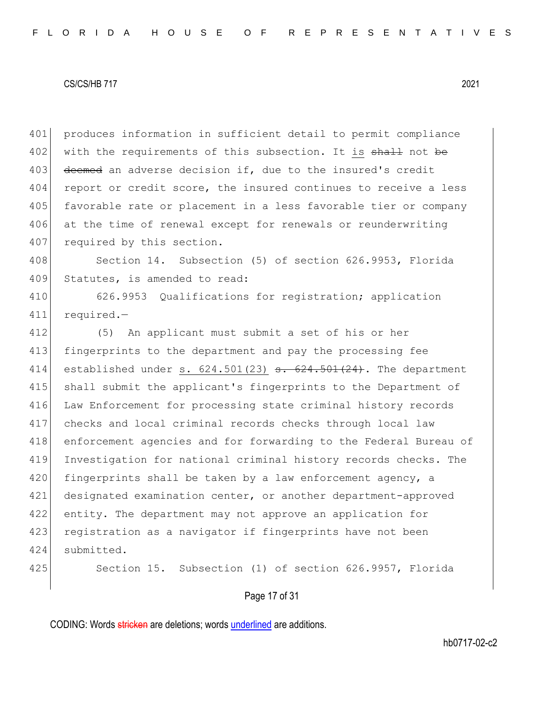401 produces information in sufficient detail to permit compliance 402 with the requirements of this subsection. It is shall not be 403 deemed an adverse decision if, due to the insured's credit 404 report or credit score, the insured continues to receive a less 405 favorable rate or placement in a less favorable tier or company 406 at the time of renewal except for renewals or reunderwriting 407 required by this section.

408 Section 14. Subsection (5) of section 626.9953, Florida 409 Statutes, is amended to read:

410 626.9953 Qualifications for registration; application 411 required.—

 (5) An applicant must submit a set of his or her 413 fingerprints to the department and pay the processing fee 414 established under s.  $624.501(23)$  s.  $624.501(24)$ . The department shall submit the applicant's fingerprints to the Department of 416 Law Enforcement for processing state criminal history records checks and local criminal records checks through local law enforcement agencies and for forwarding to the Federal Bureau of Investigation for national criminal history records checks. The fingerprints shall be taken by a law enforcement agency, a designated examination center, or another department-approved 422 entity. The department may not approve an application for 423 registration as a navigator if fingerprints have not been submitted.

425 Section 15. Subsection (1) of section 626.9957, Florida

## Page 17 of 31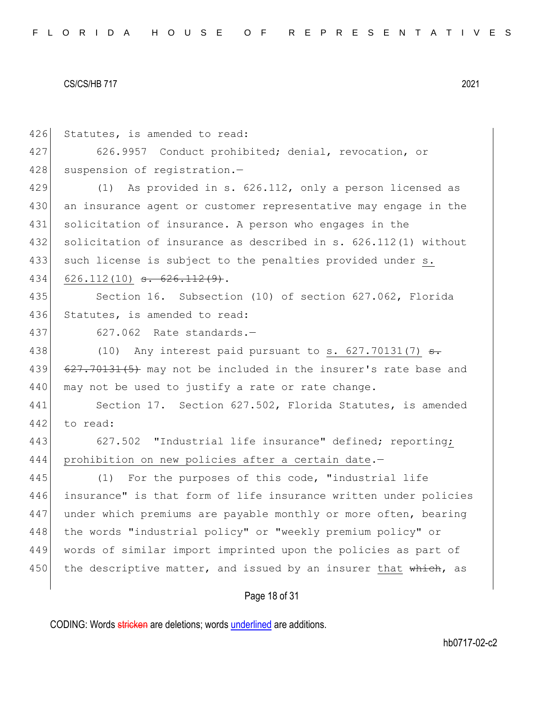Page 18 of 31 426 Statutes, is amended to read: 427 626.9957 Conduct prohibited; denial, revocation, or 428 suspension of registration.-429 (1) As provided in s. 626.112, only a person licensed as 430 an insurance agent or customer representative may engage in the 431 solicitation of insurance. A person who engages in the 432 solicitation of insurance as described in s. 626.112(1) without 433 such license is subject to the penalties provided under s. 434 626.112(10) <del>s. 626.112(9)</del>. 435 Section 16. Subsection (10) of section 627.062, Florida 436 Statutes, is amended to read: 437 627.062 Rate standards.— 438 (10) Any interest paid pursuant to s.  $627.70131(7)$  s. 439 627.70131(5) may not be included in the insurer's rate base and 440 may not be used to justify a rate or rate change. 441 Section 17. Section 627.502, Florida Statutes, is amended 442 to read: 443 627.502 "Industrial life insurance" defined; reporting; 444 prohibition on new policies after a certain date.— 445 (1) For the purposes of this code, "industrial life 446 insurance" is that form of life insurance written under policies 447 under which premiums are payable monthly or more often, bearing 448 the words "industrial policy" or "weekly premium policy" or 449 words of similar import imprinted upon the policies as part of 450 the descriptive matter, and issued by an insurer that  $\theta$ , as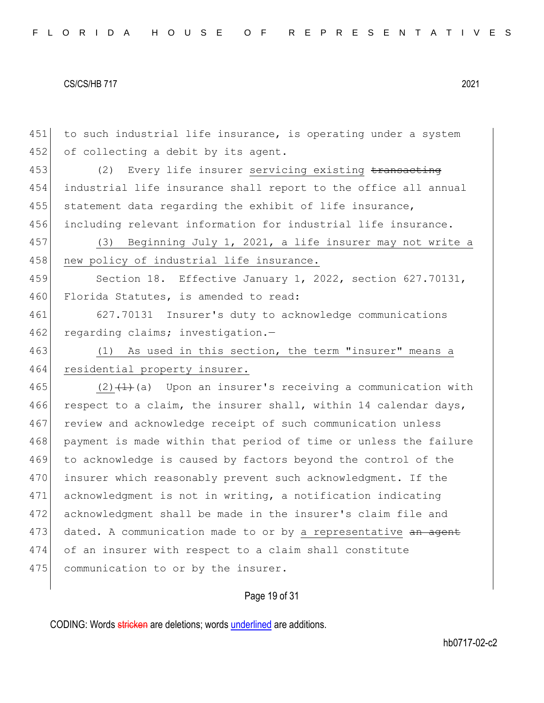451 to such industrial life insurance, is operating under a system 452 of collecting a debit by its agent. 453 (2) Every life insurer servicing existing transacting 454 industrial life insurance shall report to the office all annual 455 statement data regarding the exhibit of life insurance, 456 including relevant information for industrial life insurance. 457 (3) Beginning July 1, 2021, a life insurer may not write a 458 new policy of industrial life insurance. 459 Section 18. Effective January 1, 2022, section 627.70131, 460 Florida Statutes, is amended to read: 461 627.70131 Insurer's duty to acknowledge communications 462 regarding claims; investigation.-463 (1) As used in this section, the term "insurer" means a 464 residential property insurer. 465 (2) $(1)$  (2)  $(1)$  (a) Upon an insurer's receiving a communication with 466 respect to a claim, the insurer shall, within 14 calendar days, 467 review and acknowledge receipt of such communication unless 468 payment is made within that period of time or unless the failure 469 to acknowledge is caused by factors beyond the control of the 470 insurer which reasonably prevent such acknowledgment. If the 471 acknowledgment is not in writing, a notification indicating 472 acknowledgment shall be made in the insurer's claim file and 473 dated. A communication made to or by a representative an agent 474 of an insurer with respect to a claim shall constitute 475 communication to or by the insurer.

## Page 19 of 31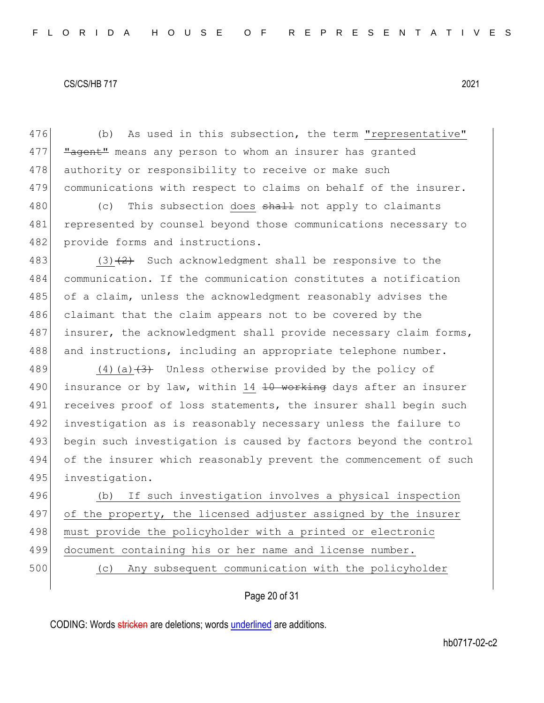476 (b) As used in this subsection, the term "representative" 477 **"agent"** means any person to whom an insurer has granted 478 authority or responsibility to receive or make such 479 communications with respect to claims on behalf of the insurer.

480 (c) This subsection does  $\frac{1}{2}$  and  $\frac{1}{2}$  not apply to claimants 481 represented by counsel beyond those communications necessary to 482 provide forms and instructions.

483 (3) $(2)$  Such acknowledgment shall be responsive to the 484 communication. If the communication constitutes a notification 485 of a claim, unless the acknowledgment reasonably advises the 486 claimant that the claim appears not to be covered by the 487 insurer, the acknowledgment shall provide necessary claim forms, 488 and instructions, including an appropriate telephone number.

489  $(4)(a)$   $(3)$  Unless otherwise provided by the policy of 490 insurance or by law, within 14 <del>10 working</del> days after an insurer 491 receives proof of loss statements, the insurer shall begin such 492 investigation as is reasonably necessary unless the failure to 493 begin such investigation is caused by factors beyond the control 494 of the insurer which reasonably prevent the commencement of such 495 investigation.

496 (b) If such investigation involves a physical inspection 497 of the property, the licensed adjuster assigned by the insurer 498 must provide the policyholder with a printed or electronic 499 document containing his or her name and license number.

500 (c) Any subsequent communication with the policyholder

## Page 20 of 31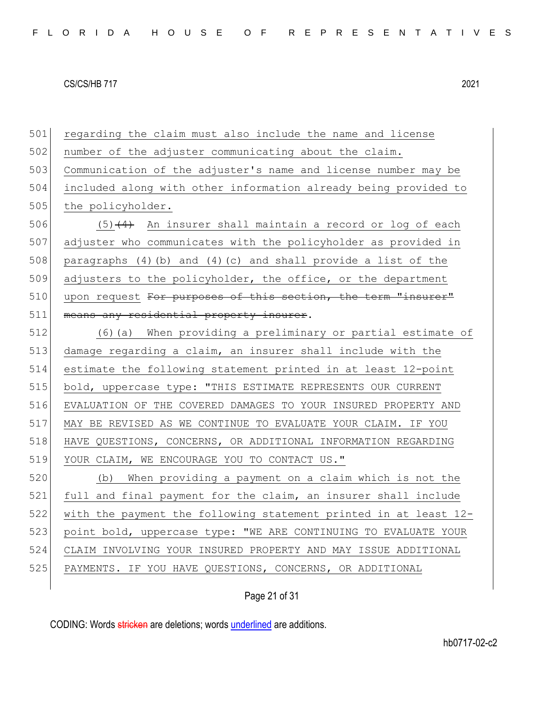501 regarding the claim must also include the name and license 502 number of the adjuster communicating about the claim. Communication of the adjuster's name and license number may be included along with other information already being provided to 505 the policyholder.  $(5)$   $(4)$  An insurer shall maintain a record or log of each adjuster who communicates with the policyholder as provided in 508 paragraphs (4)(b) and (4)(c) and shall provide a list of the 509 adjusters to the policyholder, the office, or the department 510 upon request For purposes of this section, the term "insurer" 511 means any residential property insurer. (6)(a) When providing a preliminary or partial estimate of damage regarding a claim, an insurer shall include with the estimate the following statement printed in at least 12-point bold, uppercase type: "THIS ESTIMATE REPRESENTS OUR CURRENT EVALUATION OF THE COVERED DAMAGES TO YOUR INSURED PROPERTY AND MAY BE REVISED AS WE CONTINUE TO EVALUATE YOUR CLAIM. IF YOU HAVE QUESTIONS, CONCERNS, OR ADDITIONAL INFORMATION REGARDING YOUR CLAIM, WE ENCOURAGE YOU TO CONTACT US." (b) When providing a payment on a claim which is not the full and final payment for the claim, an insurer shall include with the payment the following statement printed in at least 12- point bold, uppercase type: "WE ARE CONTINUING TO EVALUATE YOUR CLAIM INVOLVING YOUR INSURED PROPERTY AND MAY ISSUE ADDITIONAL PAYMENTS. IF YOU HAVE QUESTIONS, CONCERNS, OR ADDITIONAL

## Page 21 of 31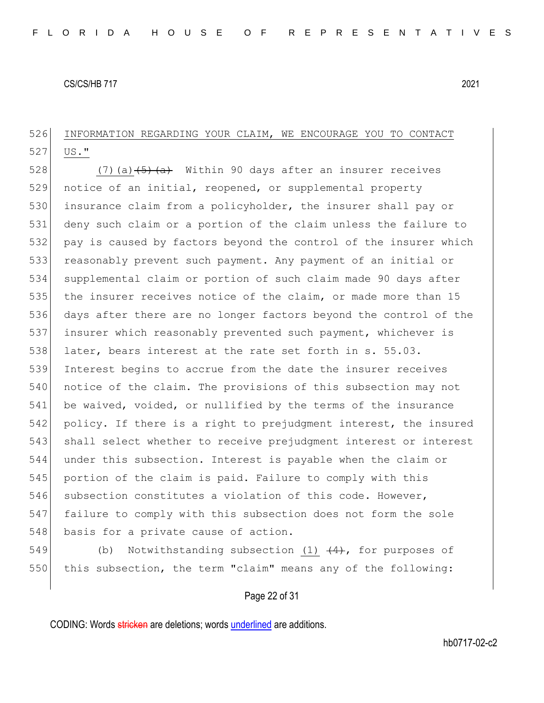## 526 INFORMATION REGARDING YOUR CLAIM, WE ENCOURAGE YOU TO CONTACT  $527$  US."

528  $(7)$  (a)  $\left(5\right)$   $\left(4\right)$  Within 90 days after an insurer receives 529 notice of an initial, reopened, or supplemental property 530 insurance claim from a policyholder, the insurer shall pay or 531 deny such claim or a portion of the claim unless the failure to 532 pay is caused by factors beyond the control of the insurer which 533 reasonably prevent such payment. Any payment of an initial or 534 supplemental claim or portion of such claim made 90 days after 535 the insurer receives notice of the claim, or made more than 15 536 days after there are no longer factors beyond the control of the 537 insurer which reasonably prevented such payment, whichever is 538 later, bears interest at the rate set forth in s. 55.03. 539 Interest begins to accrue from the date the insurer receives 540 notice of the claim. The provisions of this subsection may not 541 be waived, voided, or nullified by the terms of the insurance 542 policy. If there is a right to prejudgment interest, the insured 543 shall select whether to receive prejudgment interest or interest 544 under this subsection. Interest is payable when the claim or 545 portion of the claim is paid. Failure to comply with this 546 subsection constitutes a violation of this code. However, 547 failure to comply with this subsection does not form the sole 548 basis for a private cause of action.

549 (b) Notwithstanding subsection (1)  $(4)$ , for purposes of 550 this subsection, the term "claim" means any of the following:

## Page 22 of 31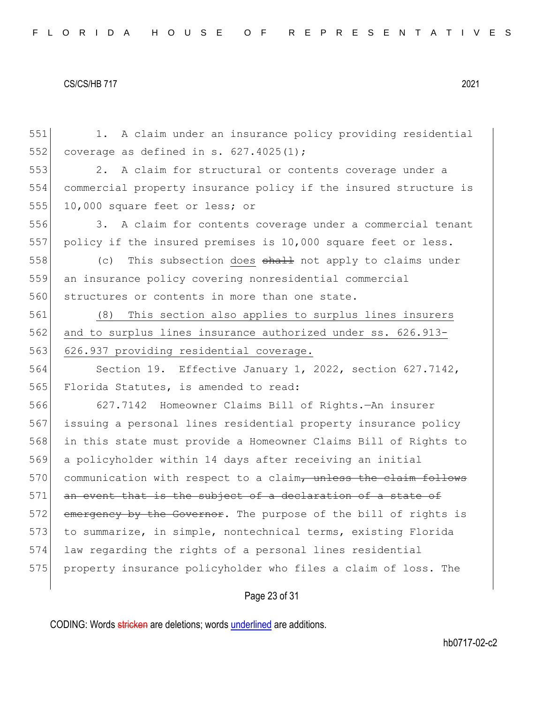551 1. A claim under an insurance policy providing residential 552 coverage as defined in s.  $627.4025(1)$ ; 553 2. A claim for structural or contents coverage under a 554 commercial property insurance policy if the insured structure is 555 10,000 square feet or less; or 556 3. A claim for contents coverage under a commercial tenant 557 policy if the insured premises is 10,000 square feet or less. 558  $(c)$  This subsection does  $\frac{1}{2}$  and  $\frac{1}{2}$  not apply to claims under 559 an insurance policy covering nonresidential commercial 560 structures or contents in more than one state. 561 (8) This section also applies to surplus lines insurers 562 and to surplus lines insurance authorized under ss. 626.913-563 626.937 providing residential coverage. 564 Section 19. Effective January 1, 2022, section 627.7142, 565 Florida Statutes, is amended to read: 566 627.7142 Homeowner Claims Bill of Rights.—An insurer 567 issuing a personal lines residential property insurance policy 568 in this state must provide a Homeowner Claims Bill of Rights to 569 a policyholder within 14 days after receiving an initial 570 communication with respect to a claim, unless the claim follows 571 an event that is the subject of a declaration of a state of 572 emergency by the Governor. The purpose of the bill of rights is 573 to summarize, in simple, nontechnical terms, existing Florida 574 law regarding the rights of a personal lines residential 575 property insurance policyholder who files a claim of loss. The

## Page 23 of 31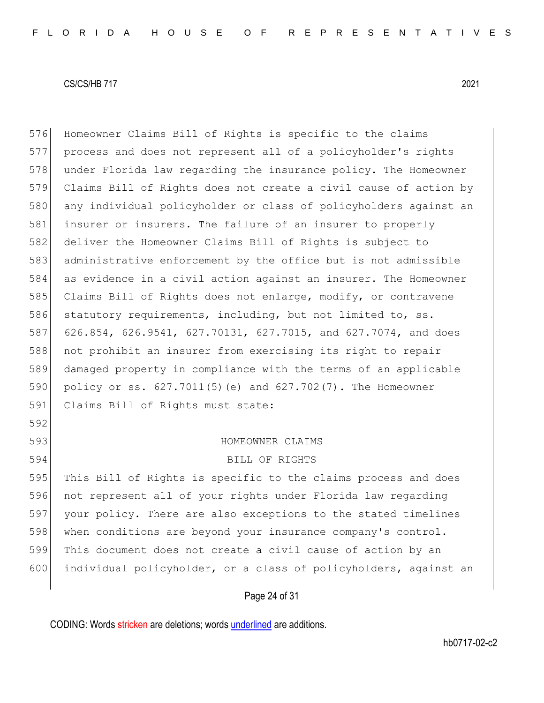Homeowner Claims Bill of Rights is specific to the claims process and does not represent all of a policyholder's rights under Florida law regarding the insurance policy. The Homeowner Claims Bill of Rights does not create a civil cause of action by any individual policyholder or class of policyholders against an 581 insurer or insurers. The failure of an insurer to properly 582 deliver the Homeowner Claims Bill of Rights is subject to administrative enforcement by the office but is not admissible as evidence in a civil action against an insurer. The Homeowner Claims Bill of Rights does not enlarge, modify, or contravene 586 statutory requirements, including, but not limited to, ss. 626.854, 626.9541, 627.70131, 627.7015, and 627.7074, and does not prohibit an insurer from exercising its right to repair damaged property in compliance with the terms of an applicable 590 policy or ss. 627.7011(5)(e) and 627.702(7). The Homeowner 591 Claims Bill of Rights must state: HOMEOWNER CLAIMS

BILL OF RIGHTS

 This Bill of Rights is specific to the claims process and does not represent all of your rights under Florida law regarding your policy. There are also exceptions to the stated timelines 598 when conditions are beyond your insurance company's control. This document does not create a civil cause of action by an individual policyholder, or a class of policyholders, against an

Page 24 of 31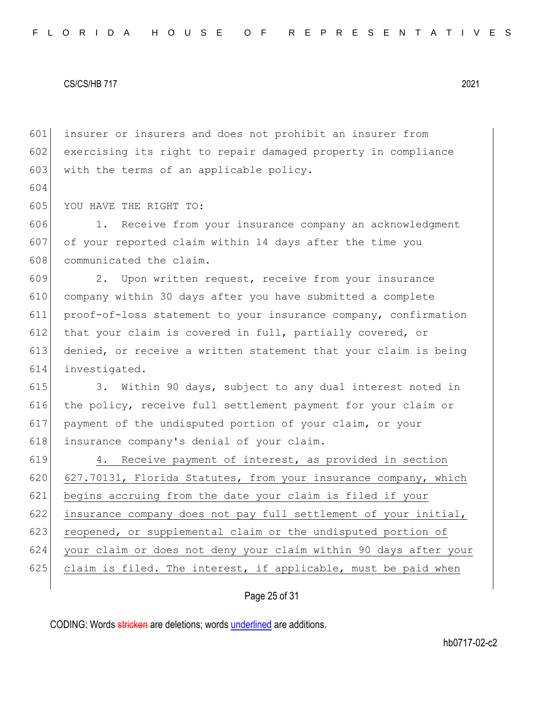604

601 insurer or insurers and does not prohibit an insurer from 602 exercising its right to repair damaged property in compliance 603 with the terms of an applicable policy.

605 YOU HAVE THE RIGHT TO:

606 1. Receive from your insurance company an acknowledgment 607 of your reported claim within 14 days after the time you 608 communicated the claim.

609 2. Upon written request, receive from your insurance company within 30 days after you have submitted a complete proof-of-loss statement to your insurance company, confirmation 612 that your claim is covered in full, partially covered, or denied, or receive a written statement that your claim is being investigated.

 3. Within 90 days, subject to any dual interest noted in 616 the policy, receive full settlement payment for your claim or payment of the undisputed portion of your claim, or your insurance company's denial of your claim.

619 4. Receive payment of interest, as provided in section 620 627.70131, Florida Statutes, from your insurance company, which 621 begins accruing from the date your claim is filed if your 622 insurance company does not pay full settlement of your initial, 623 reopened, or supplemental claim or the undisputed portion of 624 your claim or does not deny your claim within 90 days after your 625 claim is filed. The interest, if applicable, must be paid when

## Page 25 of 31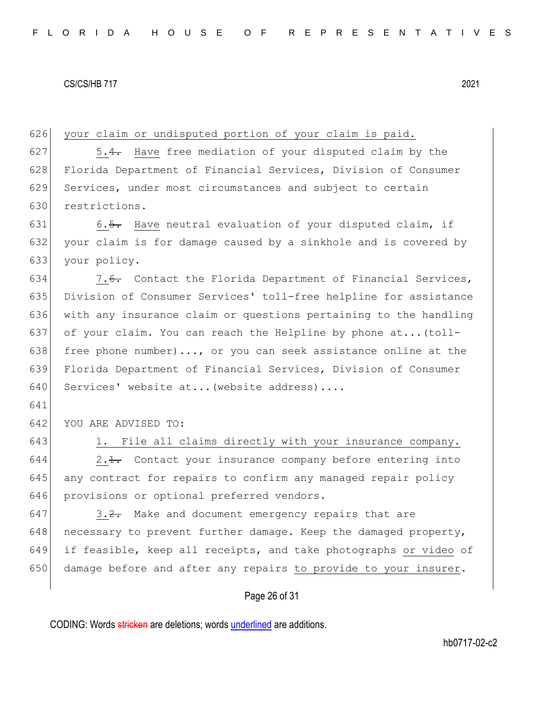626 your claim or undisputed portion of your claim is paid.  $627$  5.4. Have free mediation of your disputed claim by the 628 Florida Department of Financial Services, Division of Consumer 629 Services, under most circumstances and subject to certain 630 restrictions. 631 6.5. Have neutral evaluation of your disputed claim, if 632 your claim is for damage caused by a sinkhole and is covered by 633 your policy. 634 7.6. Contact the Florida Department of Financial Services, 635 Division of Consumer Services' toll-free helpline for assistance 636 with any insurance claim or questions pertaining to the handling 637 of your claim. You can reach the Helpline by phone at...(toll-638 free phone number)..., or you can seek assistance online at the 639 Florida Department of Financial Services, Division of Consumer 640 Services' website at... (website address).... 641 642 YOU ARE ADVISED TO: 643 1. File all claims directly with your insurance company.  $644$  2.1. Contact your insurance company before entering into 645 any contract for repairs to confirm any managed repair policy 646 provisions or optional preferred vendors.  $647$  3.2. Make and document emergency repairs that are 648 necessary to prevent further damage. Keep the damaged property, 649 if feasible, keep all receipts, and take photographs or video of 650 damage before and after any repairs to provide to your insurer.

## Page 26 of 31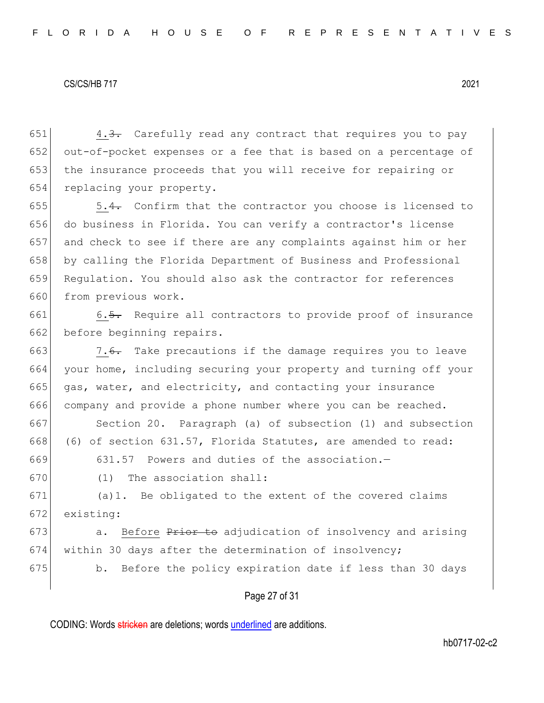4.3. Carefully read any contract that requires you to pay out-of-pocket expenses or a fee that is based on a percentage of the insurance proceeds that you will receive for repairing or 654 replacing your property.

 $\sim$  5.4. Confirm that the contractor you choose is licensed to do business in Florida. You can verify a contractor's license and check to see if there are any complaints against him or her 658 by calling the Florida Department of Business and Professional 659 Regulation. You should also ask the contractor for references from previous work.

661 6.5. Require all contractors to provide proof of insurance 662 before beginning repairs.

663 7.6. Take precautions if the damage requires you to leave 664 your home, including securing your property and turning off your 665 gas, water, and electricity, and contacting your insurance 666 company and provide a phone number where you can be reached.

667 Section 20. Paragraph (a) of subsection (1) and subsection 668 (6) of section 631.57, Florida Statutes, are amended to read:

669 631.57 Powers and duties of the association.—

670 (1) The association shall:

671 (a)1. Be obligated to the extent of the covered claims 672 existing:

673  $\vert$  a. Before  $\frac{P}{T}$  a. Before  $P$  adjudication of insolvency and arising 674 within 30 days after the determination of insolvency;

675 b. Before the policy expiration date if less than 30 days

## Page 27 of 31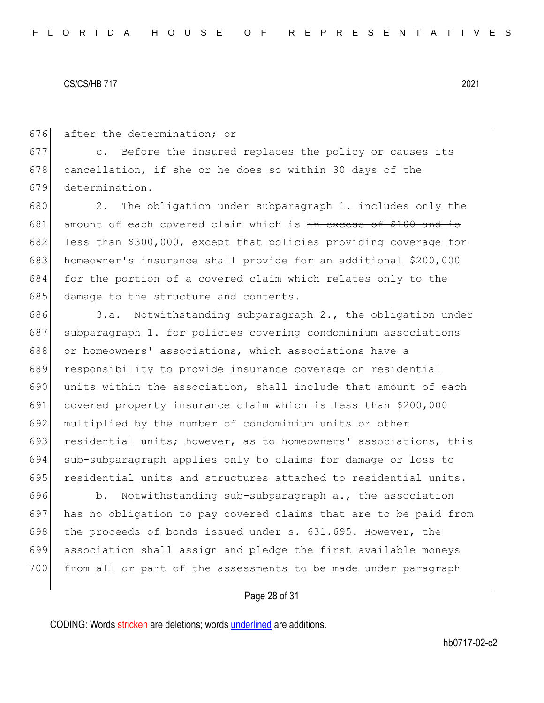676 after the determination; or

677 c. Before the insured replaces the policy or causes its 678 cancellation, if she or he does so within 30 days of the 679 determination.

680 2. The obligation under subparagraph 1. includes  $\theta$ nly the 681 amount of each covered claim which is  $\frac{1}{2}$  axcess of \$100 and is 682 less than \$300,000, except that policies providing coverage for 683 homeowner's insurance shall provide for an additional \$200,000 684 for the portion of a covered claim which relates only to the 685 damage to the structure and contents.

686 3.a. Notwithstanding subparagraph 2., the obligation under 687 subparagraph 1. for policies covering condominium associations 688 or homeowners' associations, which associations have a 689 responsibility to provide insurance coverage on residential 690 units within the association, shall include that amount of each 691 covered property insurance claim which is less than \$200,000 692 multiplied by the number of condominium units or other 693 residential units; however, as to homeowners' associations, this 694 sub-subparagraph applies only to claims for damage or loss to 695 residential units and structures attached to residential units.

696 b. Notwithstanding sub-subparagraph a., the association 697 has no obligation to pay covered claims that are to be paid from 698 the proceeds of bonds issued under s.  $631.695$ . However, the 699 association shall assign and pledge the first available moneys 700 from all or part of the assessments to be made under paragraph

## Page 28 of 31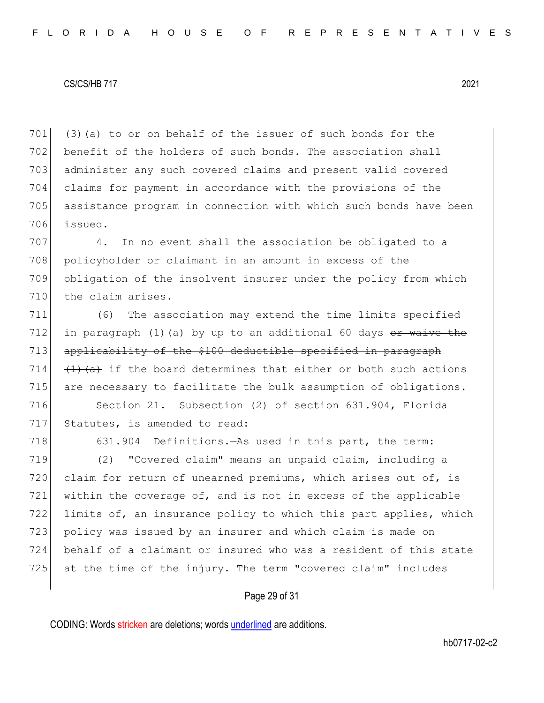(3)(a) to or on behalf of the issuer of such bonds for the 702 benefit of the holders of such bonds. The association shall administer any such covered claims and present valid covered claims for payment in accordance with the provisions of the assistance program in connection with which such bonds have been 706 issued.

707 4. In no event shall the association be obligated to a 708 policyholder or claimant in an amount in excess of the 709 obligation of the insolvent insurer under the policy from which 710 the claim arises.

711 (6) The association may extend the time limits specified 712 in paragraph (1)(a) by up to an additional 60 days  $e<sub>F</sub>$  waive the 713 applicability of the \$100 deductible specified in paragraph 714  $(1)(a)$  if the board determines that either or both such actions 715 are necessary to facilitate the bulk assumption of obligations.

716 Section 21. Subsection (2) of section 631.904, Florida 717 Statutes, is amended to read:

718 631.904 Definitions.—As used in this part, the term: 719 (2) "Covered claim" means an unpaid claim, including a 720 claim for return of unearned premiums, which arises out of, is 721 within the coverage of, and is not in excess of the applicable 722 limits of, an insurance policy to which this part applies, which 723 policy was issued by an insurer and which claim is made on 724 behalf of a claimant or insured who was a resident of this state 725 at the time of the injury. The term "covered claim" includes

## Page 29 of 31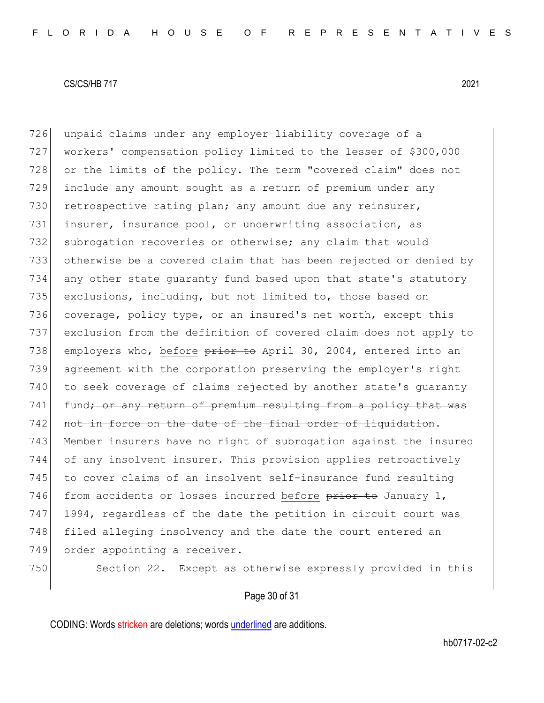726 unpaid claims under any employer liability coverage of a 727 workers' compensation policy limited to the lesser of \$300,000 728 or the limits of the policy. The term "covered claim" does not 729 include any amount sought as a return of premium under any 730 retrospective rating plan; any amount due any reinsurer, 731 insurer, insurance pool, or underwriting association, as 732 subrogation recoveries or otherwise; any claim that would 733 otherwise be a covered claim that has been rejected or denied by 734 any other state guaranty fund based upon that state's statutory 735 exclusions, including, but not limited to, those based on 736 coverage, policy type, or an insured's net worth, except this 737 exclusion from the definition of covered claim does not apply to 738 employers who, before prior to April 30, 2004, entered into an 739 agreement with the corporation preserving the employer's right 740 to seek coverage of claims rejected by another state's quaranty 741 fund<del>; or any return of premium resulting from a policy that was</del> 742 not in force on the date of the final order of liquidation. 743 Member insurers have no right of subrogation against the insured 744 of any insolvent insurer. This provision applies retroactively 745 to cover claims of an insolvent self-insurance fund resulting 746 from accidents or losses incurred before  $\frac{1}{2}$  of January 1, 747 1994, regardless of the date the petition in circuit court was 748 filed alleging insolvency and the date the court entered an 749 order appointing a receiver. 750 Section 22. Except as otherwise expressly provided in this

## Page 30 of 31

CODING: Words stricken are deletions; words underlined are additions.

hb0717-02-c2